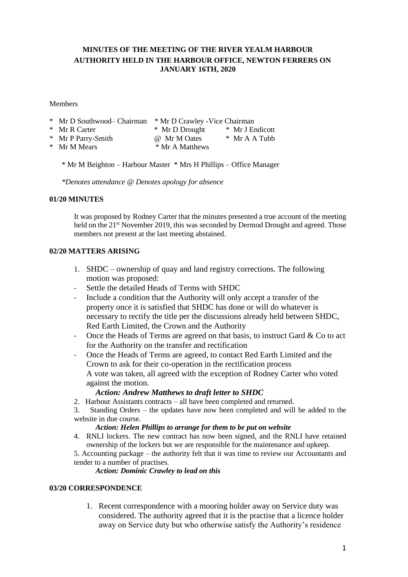# **MINUTES OF THE MEETING OF THE RIVER YEALM HARBOUR AUTHORITY HELD IN THE HARBOUR OFFICE, NEWTON FERRERS ON JANUARY 16TH, 2020**

Members

| * Mr D Southwood– Chairman | * Mr D Crawley - Vice Chairman |                 |
|----------------------------|--------------------------------|-----------------|
| * Mr R Carter              | * Mr D Drought                 | * Mr J Endicott |
| * Mr P Parry-Smith         | @ Mr M Oates                   | $*$ Mr A A Tubb |
| * Mr M Mears               | * Mr A Matthews                |                 |

\* Mr M Beighton – Harbour Master \* Mrs H Phillips – Office Manager

*\*Denotes attendance @ Denotes apology for absence*

# **01/20 MINUTES**

It was proposed by Rodney Carter that the minutes presented a true account of the meeting held on the 21<sup>st</sup> November 2019, this was seconded by Dermod Drought and agreed. Those members not present at the last meeting abstained.

# **02/20 MATTERS ARISING**

- 1. SHDC ownership of quay and land registry corrections. The following motion was proposed:
- Settle the detailed Heads of Terms with SHDC
- Include a condition that the Authority will only accept a transfer of the property once it is satisfied that SHDC has done or will do whatever is necessary to rectify the title per the discussions already held between SHDC, Red Earth Limited, the Crown and the Authority
- Once the Heads of Terms are agreed on that basis, to instruct Gard  $&$  Co to act for the Authority on the transfer and rectification
- Once the Heads of Terms are agreed, to contact Red Earth Limited and the Crown to ask for their co-operation in the rectification process A vote was taken, all agreed with the exception of Rodney Carter who voted against the motion.

### *Action: Andrew Matthews to draft letter to SHDC*

2. Harbour Assistants contracts – all have been completed and returned.

3. Standing Orders – the updates have now been completed and will be added to the website in due course.

### *Action: Helen Phillips to arrange for them to be put on website*

- 4. RNLI lockers. The new contract has now been signed, and the RNLI have retained ownership of the lockers but we are responsible for the maintenance and upkeep.
- 5. Accounting package the authority felt that it was time to review our Accountants and tender to a number of practises.

# *Action: Dominic Crawley to lead on this*

### **03/20 CORRESPONDENCE**

1. Recent correspondence with a mooring holder away on Service duty was considered. The authority agreed that it is the practise that a licence holder away on Service duty but who otherwise satisfy the Authority's residence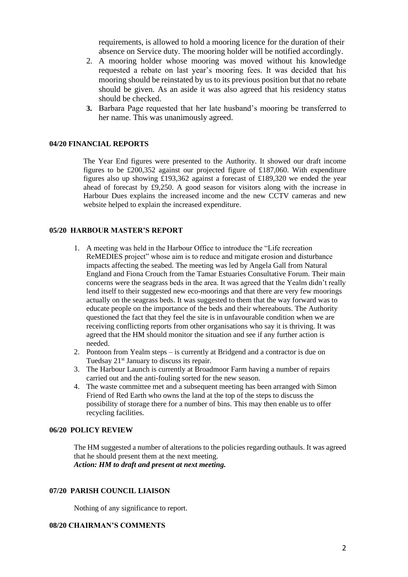requirements, is allowed to hold a mooring licence for the duration of their absence on Service duty. The mooring holder will be notified accordingly.

- 2. A mooring holder whose mooring was moved without his knowledge requested a rebate on last year's mooring fees. It was decided that his mooring should be reinstated by us to its previous position but that no rebate should be given. As an aside it was also agreed that his residency status should be checked.
- **3.** Barbara Page requested that her late husband's mooring be transferred to her name. This was unanimously agreed.

#### **04/20 FINANCIAL REPORTS**

The Year End figures were presented to the Authority. It showed our draft income figures to be £200,352 against our projected figure of £187,060. With expenditure figures also up showing £193,362 against a forecast of £189,320 we ended the year ahead of forecast by £9,250. A good season for visitors along with the increase in Harbour Dues explains the increased income and the new CCTV cameras and new website helped to explain the increased expenditure.

### **05/20 HARBOUR MASTER'S REPORT**

- 1. A meeting was held in the Harbour Office to introduce the "Life recreation ReMEDIES project" whose aim is to reduce and mitigate erosion and disturbance impacts affecting the seabed. The meeting was led by Angela Gall from Natural England and Fiona Crouch from the Tamar Estuaries Consultative Forum. Their main concerns were the seagrass beds in the area. It was agreed that the Yealm didn't really lend itself to their suggested new eco-moorings and that there are very few moorings actually on the seagrass beds. It was suggested to them that the way forward was to educate people on the importance of the beds and their whereabouts. The Authority questioned the fact that they feel the site is in unfavourable condition when we are receiving conflicting reports from other organisations who say it is thriving. It was agreed that the HM should monitor the situation and see if any further action is needed.
- 2. Pontoon from Yealm steps is currently at Bridgend and a contractor is due on Tuedsay 21<sup>st</sup> January to discuss its repair.
- 3. The Harbour Launch is currently at Broadmoor Farm having a number of repairs carried out and the anti-fouling sorted for the new season.
- 4. The waste committee met and a subsequent meeting has been arranged with Simon Friend of Red Earth who owns the land at the top of the steps to discuss the possibility of storage there for a number of bins. This may then enable us to offer recycling facilities.

### **06/20 POLICY REVIEW**

The HM suggested a number of alterations to the policies regarding outhauls. It was agreed that he should present them at the next meeting. *Action: HM to draft and present at next meeting.*

### **07/20 PARISH COUNCIL LIAISON**

Nothing of any significance to report.

#### **08/20 CHAIRMAN'S COMMENTS**